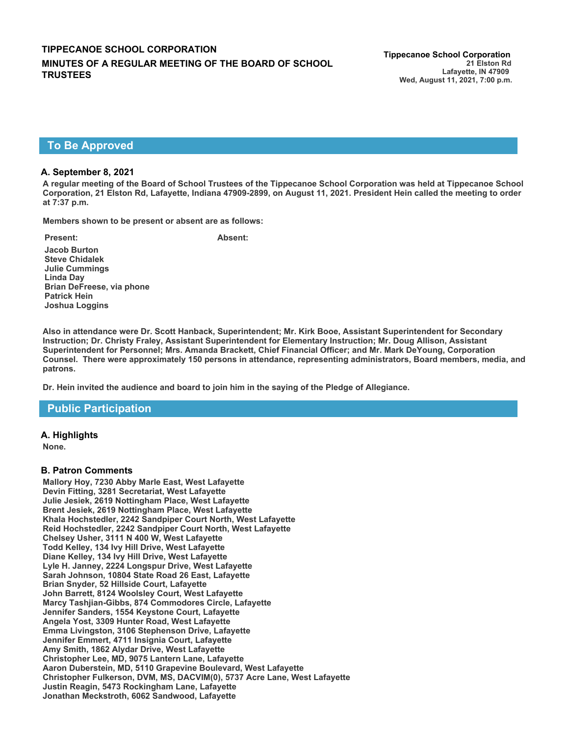# **To Be Approved**

### **A. September 8, 2021**

**A regular meeting of the Board of School Trustees of the Tippecanoe School Corporation was held at Tippecanoe School Corporation, 21 Elston Rd, Lafayette, Indiana 47909-2899, on August 11, 2021. President Hein called the meeting to order at 7:37 p.m.**

**Members shown to be present or absent are as follows:**

**Present: Absent: Jacob Burton Steve Chidalek Julie Cummings Linda Day Brian DeFreese, via phone Patrick Hein Joshua Loggins**

**Also in attendance were Dr. Scott Hanback, Superintendent; Mr. Kirk Booe, Assistant Superintendent for Secondary Instruction; Dr. Christy Fraley, Assistant Superintendent for Elementary Instruction; Mr. Doug Allison, Assistant Superintendent for Personnel; Mrs. Amanda Brackett, Chief Financial Officer; and Mr. Mark DeYoung, Corporation Counsel. There were approximately 150 persons in attendance, representing administrators, Board members, media, and patrons.**

**Dr. Hein invited the audience and board to join him in the saying of the Pledge of Allegiance.**

# **Public Participation**

### **A. Highlights**

**None.**

### **B. Patron Comments**

**Mallory Hoy, 7230 Abby Marle East, West Lafayette Devin Fitting, 3281 Secretariat, West Lafayette Julie Jesiek, 2619 Nottingham Place, West Lafayette Brent Jesiek, 2619 Nottingham Place, West Lafayette Khala Hochstedler, 2242 Sandpiper Court North, West Lafayette Reid Hochstedler, 2242 Sandpiper Court North, West Lafayette Chelsey Usher, 3111 N 400 W, West Lafayette Todd Kelley, 134 Ivy Hill Drive, West Lafayette Diane Kelley, 134 Ivy Hill Drive, West Lafayette Lyle H. Janney, 2224 Longspur Drive, West Lafayette Sarah Johnson, 10804 State Road 26 East, Lafayette Brian Snyder, 52 Hillside Court, Lafayette John Barrett, 8124 Woolsley Court, West Lafayette Marcy Tashjian-Gibbs, 874 Commodores Circle, Lafayette Jennifer Sanders, 1554 Keystone Court, Lafayette Angela Yost, 3309 Hunter Road, West Lafayette Emma Livingston, 3106 Stephenson Drive, Lafayette Jennifer Emmert, 4711 Insignia Court, Lafayette Amy Smith, 1862 Alydar Drive, West Lafayette Christopher Lee, MD, 9075 Lantern Lane, Lafayette Aaron Duberstein, MD, 5110 Grapevine Boulevard, West Lafayette Christopher Fulkerson, DVM, MS, DACVIM(0), 5737 Acre Lane, West Lafayette Justin Reagin, 5473 Rockingham Lane, Lafayette Jonathan Meckstroth, 6062 Sandwood, Lafayette**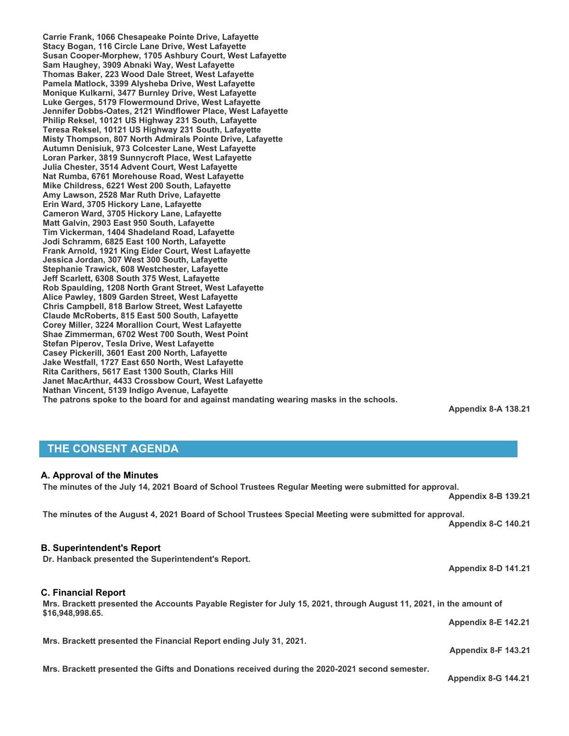**Carrie Frank, 1066 Chesapeake Pointe Drive, Lafayette Stacy Bogan, 116 Circle Lane Drive, West Lafayette Susan Cooper-Morphew, 1705 Ashbury Court, West Lafayette Sam Haughey, 3909 Abnaki Way, West Lafayette Thomas Baker, 223 Wood Dale Street, West Lafayette Pamela Matlock, 3399 Alysheba Drive, West Lafayette Monique Kulkarni, 3477 Burnley Drive, West Lafayette Luke Gerges, 5179 Flowermound Drive, West Lafayette Jennifer Dobbs-Oates, 2121 Windflower Place, West Lafayette Philip Reksel, 10121 US Highway 231 South, Lafayette Teresa Reksel, 10121 US Highway 231 South, Lafayette Misty Thompson, 807 North Admirals Pointe Drive, Lafayette Autumn Denisiuk, 973 Colcester Lane, West Lafayette Loran Parker, 3819 Sunnycroft Place, West Lafayette Julia Chester, 3514 Advent Court, West Lafayette Nat Rumba, 6761 Morehouse Road, West Lafayette Mike Childress, 6221 West 200 South, Lafayette Amy Lawson, 2528 Mar Ruth Drive, Lafayette Erin Ward, 3705 Hickory Lane, Lafayette Cameron Ward, 3705 Hickory Lane, Lafayette Matt Galvin, 2903 East 950 South, Lafayette Tim Vickerman, 1404 Shadeland Road, Lafayette Jodi Schramm, 6825 East 100 North, Lafayette Frank Arnold, 1921 King Eider Court, West Lafayette Jessica Jordan, 307 West 300 South, Lafayette Stephanie Trawick, 608 Westchester, Lafayette Jeff Scarlett, 6308 South 375 West, Lafayette Rob Spaulding, 1208 North Grant Street, West Lafayette Alice Pawley, 1809 Garden Street, West Lafayette Chris Campbell, 818 Barlow Street, West Lafayette Claude McRoberts, 815 East 500 South, Lafayette Corey Miller, 3224 Morallion Court, West Lafayette Shae Zimmerman, 6702 West 700 South, West Point Stefan Piperov, Tesla Drive, West Lafayette Casey Pickerill, 3601 East 200 North, Lafayette Jake Westfall, 1727 East 650 North, West Lafayette Rita Carithers, 5617 East 1300 South, Clarks Hill Janet MacArthur, 4433 Crossbow Court, West Lafayette Nathan Vincent, 5139 Indigo Avenue, Lafayette The patrons spoke to the board for and against mandating wearing masks in the schools.** 

**Appendix 8-A 138.21**

# **THE CONSENT AGENDA**

### **A. Approval of the Minutes**

**The minutes of the July 14, 2021 Board of School Trustees Regular Meeting were submitted for approval. Appendix 8-B 139.21**

**The minutes of the August 4, 2021 Board of School Trustees Special Meeting were submitted for approval. Appendix 8-C 140.21**

# **B. Superintendent's Report**

**Dr. Hanback presented the Superintendent's Report.** 

# **C. Financial Report**

**Mrs. Brackett presented the Accounts Payable Register for July 15, 2021, through August 11, 2021, in the amount of \$16,948,998.65. Appendix 8-E 142.21**

**Mrs. Brackett presented the Financial Report ending July 31, 2021.**

**Mrs. Brackett presented the Gifts and Donations received during the 2020-2021 second semester.**

**Appendix 8-G 144.21**

**Appendix 8-F 143.21**

**Appendix 8-D 141.21**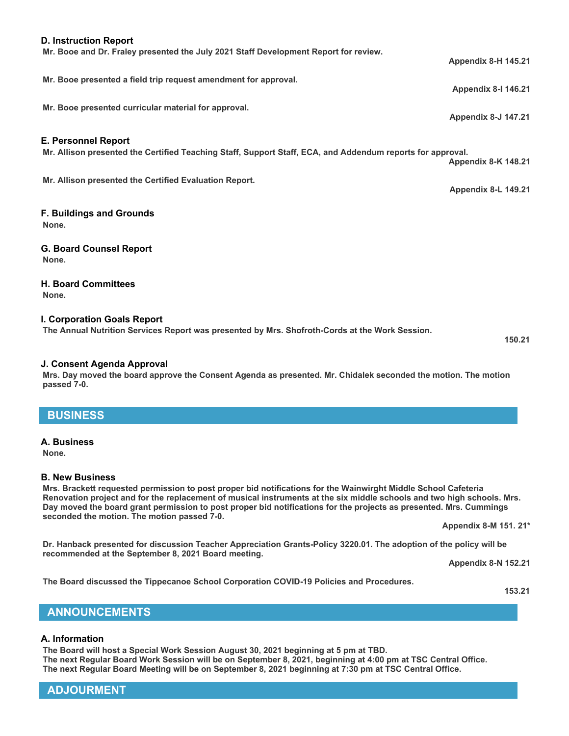# **ADJOURMENT**

# **Mr. Booe presented a field trip request amendment for approval. Mr. Booe presented curricular material for approval. E. Personnel Report Mr. Allison presented the Certified Teaching Staff, Support Staff, ECA, and Addendum reports for approval. Appendix 8-K 148.21 Mr. Allison presented the Certified Evaluation Report. Appendix 8-L 149.21 F. Buildings and Grounds None.**

**G. Board Counsel Report None.**

# **H. Board Committees**

**None.**

### **I. Corporation Goals Report**

**The Annual Nutrition Services Report was presented by Mrs. Shofroth-Cords at the Work Session.**

**Mr. Booe and Dr. Fraley presented the July 2021 Staff Development Report for review.**

### **J. Consent Agenda Approval**

**Mrs. Day moved the board approve the Consent Agenda as presented. Mr. Chidalek seconded the motion. The motion passed 7-0.** 

# **BUSINESS**

# **A. Business**

**None.**

### **B. New Business**

**Mrs. Brackett requested permission to post proper bid notifications for the Wainwirght Middle School Cafeteria Renovation project and for the replacement of musical instruments at the six middle schools and two high schools. Mrs. Day moved the board grant permission to post proper bid notifications for the projects as presented. Mrs. Cummings seconded the motion. The motion passed 7-0.** 

**Appendix 8-M 151. 21\***

**Dr. Hanback presented for discussion Teacher Appreciation Grants-Policy 3220.01. The adoption of the policy will be recommended at the September 8, 2021 Board meeting.**

**Appendix 8-N 152.21**

**The Board discussed the Tippecanoe School Corporation COVID-19 Policies and Procedures.**

**153.21**

### **A. Information**

**The Board will host a Special Work Session August 30, 2021 beginning at 5 pm at TBD. The next Regular Board Work Session will be on September 8, 2021, beginning at 4:00 pm at TSC Central Office. The next Regular Board Meeting will be on September 8, 2021 beginning at 7:30 pm at TSC Central Office.**

### **D. Instruction Report**

**150.21**

**Appendix 8-I 146.21**

**Appendix 8-H 145.21**

**Appendix 8-J 147.21**

**ANNOUNCEMENTS**